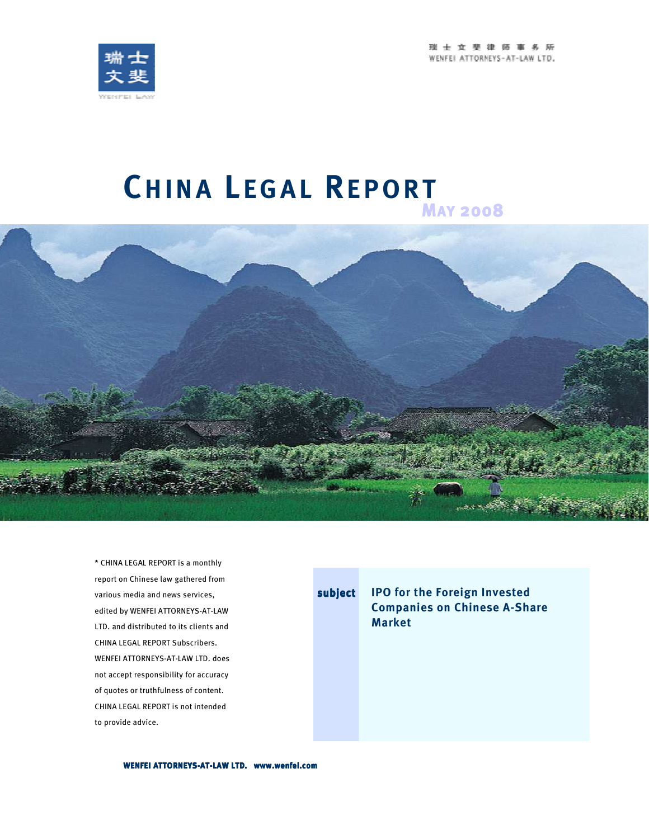



# **CH I N A L E G A L RE P O R T <sup>M</sup>AY <sup>2008</sup>**



\* CHINA LEGAL REPORT is a monthly report on Chinese law gathered from various media and news services, edited by WENFEI ATTORNEYS-AT-LAW LTD. and distributed to its clients and CHINA LEGAL REPORT Subscribers. WENFEI ATTORNEYS-AT-LAW LTD. does not accept responsibility for accuracy of quotes or truthfulness of content. CHINA LEGAL REPORT is not intended to provide advice.

**subject IPO for the Foreign Invested Companies on Chinese A-Share Market** 

**WENFEI ATTORNEYS- WENFEI ATTORNEYS-AT-LAW LTD. www.wenfei.com LAW www.wenfei.com www.wenfei.com**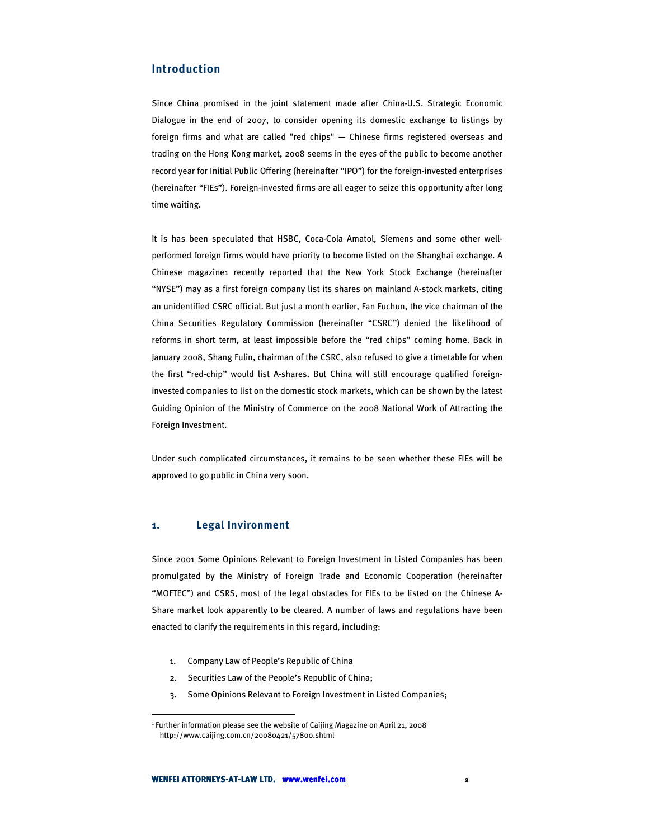# **Introduction**

Since China promised in the joint statement made after China-U.S. Strategic Economic Dialogue in the end of 2007, to consider opening its domestic exchange to listings by foreign firms and what are called "red chips" — Chinese firms registered overseas and trading on the Hong Kong market, 2008 seems in the eyes of the public to become another record year for Initial Public Offering (hereinafter "IPO") for the foreign-invested enterprises (hereinafter "FIEs"). Foreign-invested firms are all eager to seize this opportunity after long time waiting.

It is has been speculated that HSBC, Coca-Cola Amatol, Siemens and some other wellperformed foreign firms would have priority to become listed on the Shanghai exchange. A Chinese magazine1 recently reported that the New York Stock Exchange (hereinafter "NYSE") may as a first foreign company list its shares on mainland A-stock markets, citing an unidentified CSRC official. But just a month earlier, Fan Fuchun, the vice chairman of the China Securities Regulatory Commission (hereinafter "CSRC") denied the likelihood of reforms in short term, at least impossible before the "red chips" coming home. Back in January 2008, Shang Fulin, chairman of the CSRC, also refused to give a timetable for when the first "red-chip" would list A-shares. But China will still encourage qualified foreigninvested companies to list on the domestic stock markets, which can be shown by the latest Guiding Opinion of the Ministry of Commerce on the 2008 National Work of Attracting the Foreign Investment.

Under such complicated circumstances, it remains to be seen whether these FIEs will be approved to go public in China very soon.

#### **1. Legal Invironment**

 $\ddot{\phantom{a}}$ 

Since 2001 Some Opinions Relevant to Foreign Investment in Listed Companies has been promulgated by the Ministry of Foreign Trade and Economic Cooperation (hereinafter "MOFTEC") and CSRS, most of the legal obstacles for FIEs to be listed on the Chinese A-Share market look apparently to be cleared. A number of laws and regulations have been enacted to clarify the requirements in this regard, including:

- 1. Company Law of People's Republic of China
- 2. Securities Law of the People's Republic of China;
- 3. Some Opinions Relevant to Foreign Investment in Listed Companies;

<sup>&</sup>lt;sup>1</sup> Further information please see the website of Caijing Magazine on April 21, 2008 http://www.caijing.com.cn/20080421/57800.shtml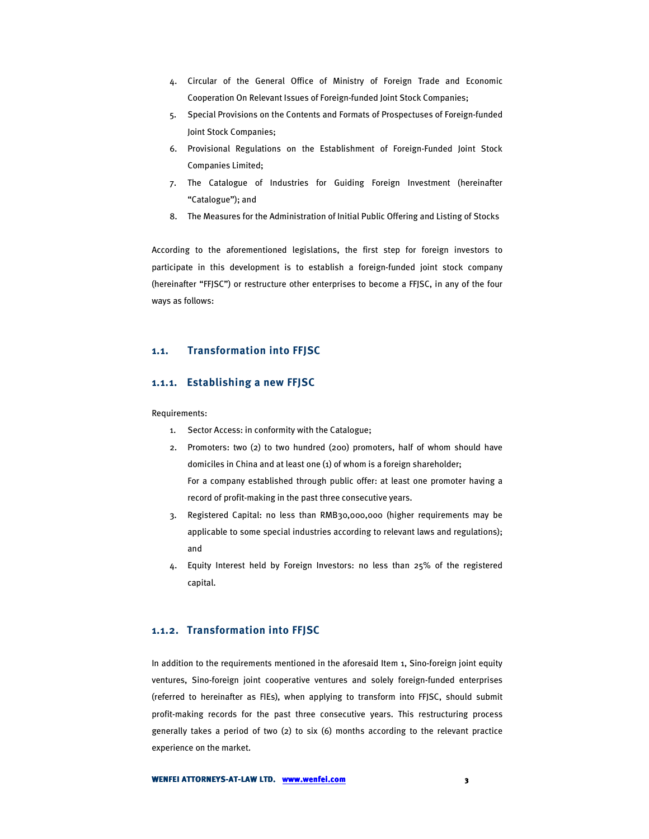- 4. Circular of the General Office of Ministry of Foreign Trade and Economic Cooperation On Relevant Issues of Foreign-funded Joint Stock Companies;
- 5. Special Provisions on the Contents and Formats of Prospectuses of Foreign-funded Joint Stock Companies;
- 6. Provisional Regulations on the Establishment of Foreign-Funded Joint Stock Companies Limited;
- 7. The Catalogue of Industries for Guiding Foreign Investment (hereinafter "Catalogue"); and
- 8. The Measures for the Administration of Initial Public Offering and Listing of Stocks

According to the aforementioned legislations, the first step for foreign investors to participate in this development is to establish a foreign-funded joint stock company (hereinafter "FFJSC") or restructure other enterprises to become a FFJSC, in any of the four ways as follows:

## **1.1. Transformation into FFJSC**

#### **1.1.1. Establishing a new FFJSC**

Requirements:

- 1. Sector Access: in conformity with the Catalogue;
- 2. Promoters: two (2) to two hundred (200) promoters, half of whom should have domiciles in China and at least one (1) of whom is a foreign shareholder; For a company established through public offer: at least one promoter having a record of profit-making in the past three consecutive years.
- 3. Registered Capital: no less than RMB30,000,000 (higher requirements may be applicable to some special industries according to relevant laws and regulations); and
- 4. Equity Interest held by Foreign Investors: no less than 25% of the registered capital.

## **1.1.2. Transformation into FFJSC**

In addition to the requirements mentioned in the aforesaid Item 1, Sino-foreign joint equity ventures, Sino-foreign joint cooperative ventures and solely foreign-funded enterprises (referred to hereinafter as FIEs), when applying to transform into FFJSC, should submit profit-making records for the past three consecutive years. This restructuring process generally takes a period of two (2) to six (6) months according to the relevant practice experience on the market.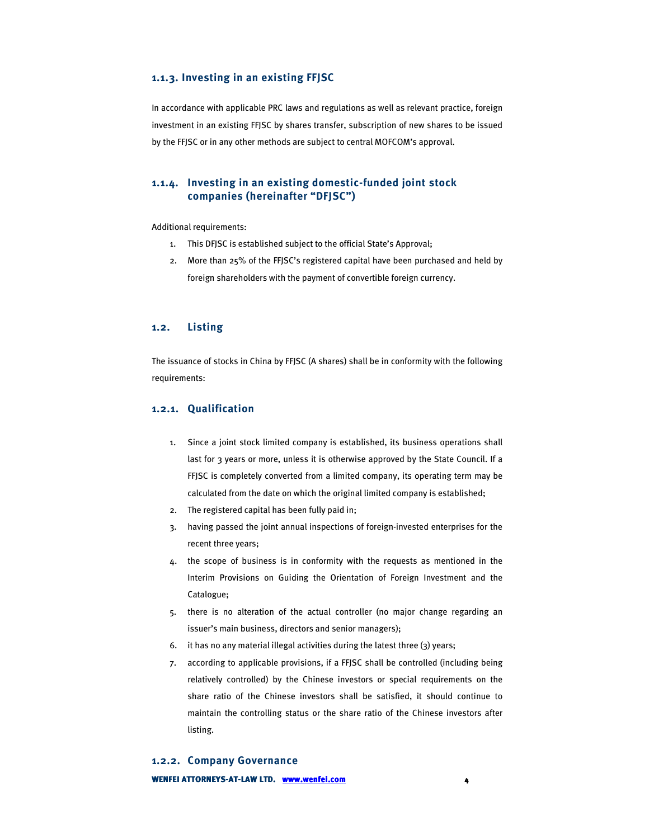#### **1.1.3. Investing in an existing FFJSC**

In accordance with applicable PRC laws and regulations as well as relevant practice, foreign investment in an existing FFJSC by shares transfer, subscription of new shares to be issued by the FFJSC or in any other methods are subject to central MOFCOM's approval.

## **1.1.4. Investing in an existing domestic-funded joint stock companies (hereinafter "DFJSC")**

Additional requirements:

- 1. This DFJSC is established subject to the official State's Approval;
- 2. More than 25% of the FFJSC's registered capital have been purchased and held by foreign shareholders with the payment of convertible foreign currency.

#### **1.2. Listing**

The issuance of stocks in China by FFJSC (A shares) shall be in conformity with the following requirements:

## **1.2.1. Qualification**

- 1. Since a joint stock limited company is established, its business operations shall last for 3 years or more, unless it is otherwise approved by the State Council. If a FFJSC is completely converted from a limited company, its operating term may be calculated from the date on which the original limited company is established;
- 2. The registered capital has been fully paid in;
- 3. having passed the joint annual inspections of foreign-invested enterprises for the recent three years;
- 4. the scope of business is in conformity with the requests as mentioned in the Interim Provisions on Guiding the Orientation of Foreign Investment and the Catalogue;
- 5. there is no alteration of the actual controller (no major change regarding an issuer's main business, directors and senior managers);
- 6. it has no any material illegal activities during the latest three (3) years;
- 7. according to applicable provisions, if a FFJSC shall be controlled (including being relatively controlled) by the Chinese investors or special requirements on the share ratio of the Chinese investors shall be satisfied, it should continue to maintain the controlling status or the share ratio of the Chinese investors after listing.

**WENFEI ATTORNEYS-AT-LAW LTD. www.wenfei.com 1.2.2. Company Governance**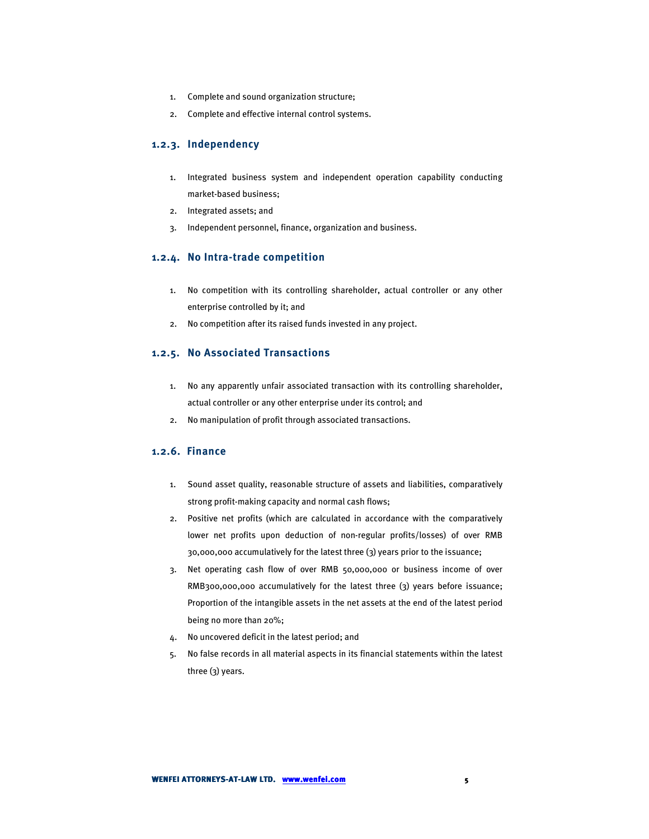- 1. Complete and sound organization structure;
- 2. Complete and effective internal control systems.

### **1.2.3. Independency**

- 1. Integrated business system and independent operation capability conducting market-based business;
- 2. Integrated assets; and
- 3. Independent personnel, finance, organization and business.

#### **1.2.4. No Intra-trade competition**

- 1. No competition with its controlling shareholder, actual controller or any other enterprise controlled by it; and
- 2. No competition after its raised funds invested in any project.

## **1.2.5. No Associated Transactions**

- 1. No any apparently unfair associated transaction with its controlling shareholder, actual controller or any other enterprise under its control; and
- 2. No manipulation of profit through associated transactions.

## **1.2.6. Finance**

- 1. Sound asset quality, reasonable structure of assets and liabilities, comparatively strong profit-making capacity and normal cash flows;
- 2. Positive net profits (which are calculated in accordance with the comparatively lower net profits upon deduction of non-regular profits/losses) of over RMB 30,000,000 accumulatively for the latest three (3) years prior to the issuance;
- 3. Net operating cash flow of over RMB 50,000,000 or business income of over RMB300,000,000 accumulatively for the latest three (3) years before issuance; Proportion of the intangible assets in the net assets at the end of the latest period being no more than 20%;
- 4. No uncovered deficit in the latest period; and
- 5. No false records in all material aspects in its financial statements within the latest three (3) years.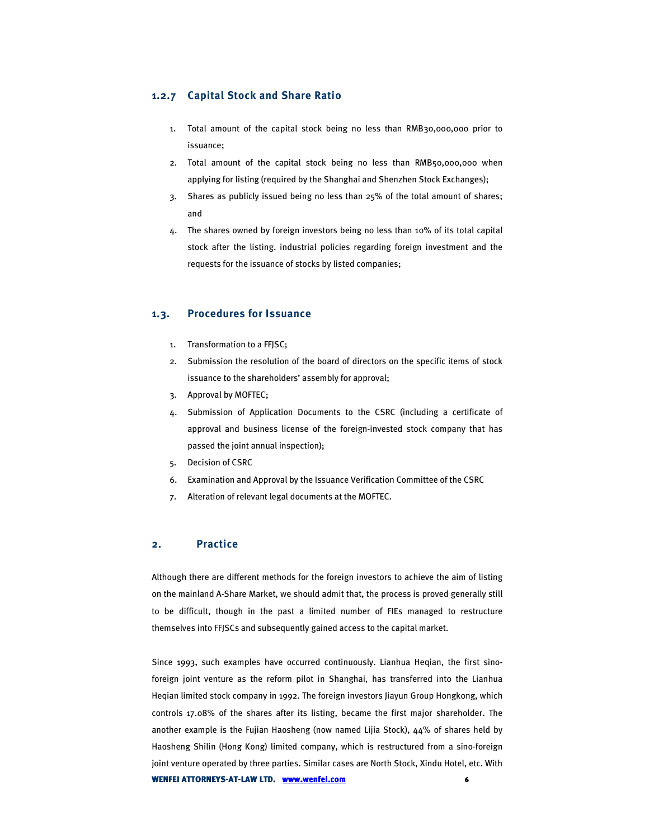## **1.2.7 Capital Stock and Share Ratio**

- 1. Total amount of the capital stock being no less than RMB30,000,000 prior to issuance;
- 2. Total amount of the capital stock being no less than RMB50,000,000 when applying for listing (required by the Shanghai and Shenzhen Stock Exchanges);
- 3. Shares as publicly issued being no less than 25% of the total amount of shares; and
- 4. The shares owned by foreign investors being no less than 10% of its total capital stock after the listing. industrial policies regarding foreign investment and the requests for the issuance of stocks by listed companies;

## **1.3. Procedures for Issuance**

- 1. Transformation to a FFJSC;
- 2. Submission the resolution of the board of directors on the specific items of stock issuance to the shareholders' assembly for approval;
- 3. Approval by MOFTEC;
- 4. Submission of Application Documents to the CSRC (including a certificate of approval and business license of the foreign-invested stock company that has passed the joint annual inspection);
- 5. Decision of CSRC
- 6. Examination and Approval by the Issuance Verification Committee of the CSRC
- 7. Alteration of relevant legal documents at the MOFTEC.

## **2. Practice**

Although there are different methods for the foreign investors to achieve the aim of listing on the mainland A-Share Market, we should admit that, the process is proved generally still to be difficult, though in the past a limited number of FIEs managed to restructure themselves into FFJSCs and subsequently gained access to the capital market.

**WENFEI ATTORNEYS-AT-LAW LTD. WWW.wenfei.com** *6* Since 1993, such examples have occurred continuously. Lianhua Heqian, the first sinoforeign joint venture as the reform pilot in Shanghai, has transferred into the Lianhua Heqian limited stock company in 1992. The foreign investors Jiayun Group Hongkong, which controls 17.08% of the shares after its listing, became the first major shareholder. The another example is the Fujian Haosheng (now named Lijia Stock), 44% of shares held by Haosheng Shilin (Hong Kong) limited company, which is restructured from a sino-foreign joint venture operated by three parties. Similar cases are North Stock, Xindu Hotel, etc. With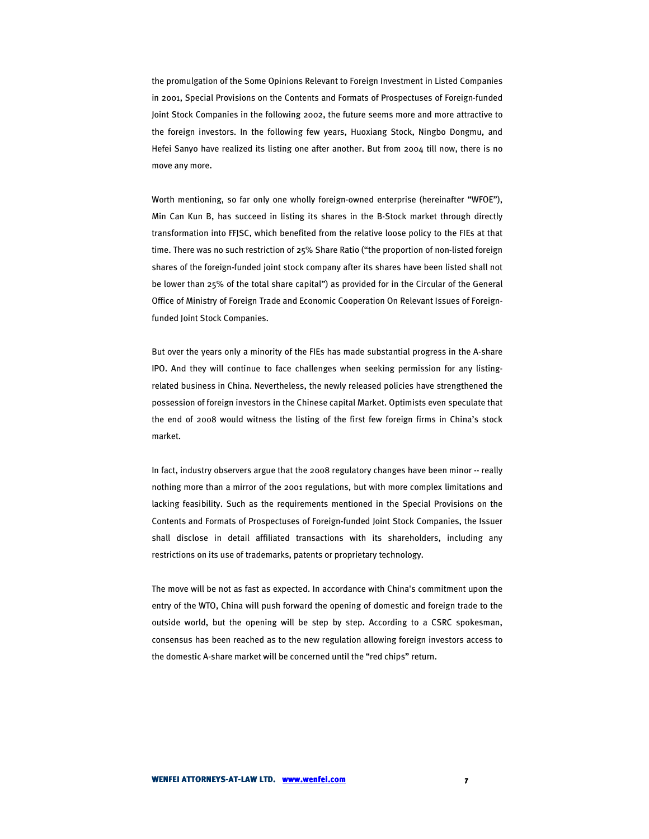the promulgation of the Some Opinions Relevant to Foreign Investment in Listed Companies in 2001, Special Provisions on the Contents and Formats of Prospectuses of Foreign-funded Joint Stock Companies in the following 2002, the future seems more and more attractive to the foreign investors. In the following few years, Huoxiang Stock, Ningbo Dongmu, and Hefei Sanyo have realized its listing one after another. But from 2004 till now, there is no move any more.

Worth mentioning, so far only one wholly foreign-owned enterprise (hereinafter "WFOE"), Min Can Kun B, has succeed in listing its shares in the B-Stock market through directly transformation into FFJSC, which benefited from the relative loose policy to the FIEs at that time. There was no such restriction of 25% Share Ratio ("the proportion of non-listed foreign shares of the foreign-funded joint stock company after its shares have been listed shall not be lower than 25% of the total share capital") as provided for in the Circular of the General Office of Ministry of Foreign Trade and Economic Cooperation On Relevant Issues of Foreignfunded Joint Stock Companies.

But over the years only a minority of the FIEs has made substantial progress in the A-share IPO. And they will continue to face challenges when seeking permission for any listingrelated business in China. Nevertheless, the newly released policies have strengthened the possession of foreign investors in the Chinese capital Market. Optimists even speculate that the end of 2008 would witness the listing of the first few foreign firms in China's stock market.

In fact, industry observers argue that the 2008 regulatory changes have been minor -- really nothing more than a mirror of the 2001 regulations, but with more complex limitations and lacking feasibility. Such as the requirements mentioned in the Special Provisions on the Contents and Formats of Prospectuses of Foreign-funded Joint Stock Companies, the Issuer shall disclose in detail affiliated transactions with its shareholders, including any restrictions on its use of trademarks, patents or proprietary technology.

The move will be not as fast as expected. In accordance with China's commitment upon the entry of the WTO, China will push forward the opening of domestic and foreign trade to the outside world, but the opening will be step by step. According to a CSRC spokesman, consensus has been reached as to the new regulation allowing foreign investors access to the domestic A-share market will be concerned until the "red chips" return.